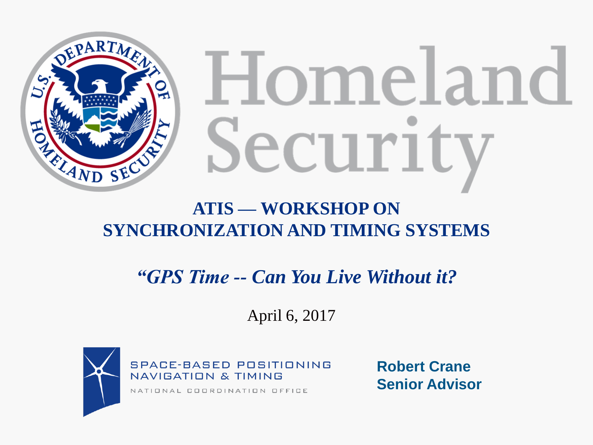

# Homeland Securit

### **ATIS — WORKSHOP ON SYNCHRONIZATION AND TIMING SYSTEMS**

*"GPS Time -- Can You Live Without it?*

April 6, 2017



**SPACE-BASED POSITIONING NAVIGATION & TIMING** 

NATIONAL COORDINATION OFFICE

**Robert Crane Senior Advisor**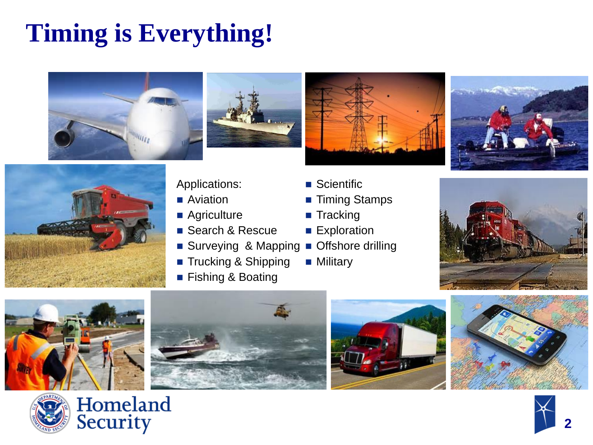### **Timing is Everything!**







#### Applications:

- **Aviation**
- **Agriculture**
- Search & Rescue
- **Mapping** Surveying & Mapping
	- Trucking & Shipping
	- Fishing & Boating
- Scientific
- <del>Dolerimic</del><br>■ Timing Stamps
	- Tracking
- Exploration
- **Navigation**<br> **Navigation** 
	- **Military**

















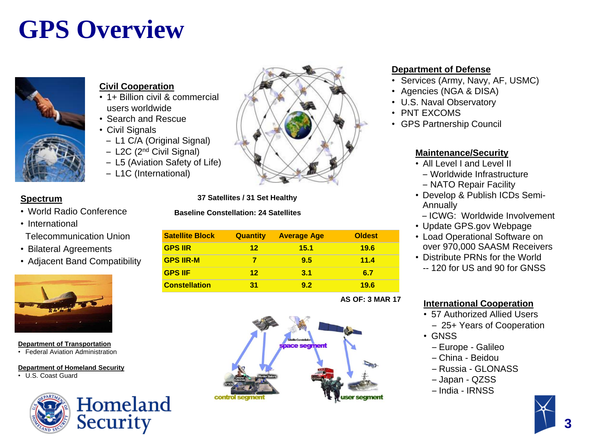### **GPS Overview**



#### **Civil Cooperation**

- 1+ Billion civil & commercial users worldwide
- Search and Rescue
- Civil Signals
	- L1 C/A (Original Signal)
	- L2C (2nd Civil Signal)
	- L5 (Aviation Safety of Life)
	- L1C (International)



#### **Spectrum**

- World Radio Conference
- International Telecommunication Union
- Bilateral Agreements
- Adiacent Band Compatibility



#### **Department of Transportation**

• Federal Aviation Administration

#### **Department of Homeland Security**

• U.S. Coast Guard



**37 Satellites / 31 Set Healthy**

#### **Baseline Constellation: 24 Satellites**

| <b>Satellite Block</b> | <b>Quantity</b> | <b>Average Age</b> | <b>Oldest</b> |
|------------------------|-----------------|--------------------|---------------|
| <b>GPS IIR</b>         | 12              | 15.1               | 19.6          |
| <b>GPS IIR-M</b>       |                 | 9.5                | 11.4          |
| <b>GPS IIF</b>         | 12              | 3.1                | 6.7           |
| <b>Constellation</b>   | 31              | 92                 | 19.6          |

#### **AS OF: 3 MAR 17**



#### **Department of Defense**

- Services (Army, Navy, AF, USMC)
- Agencies (NGA & DISA)
- U.S. Naval Observatory
- PNT EXCOMS
- GPS Partnership Council

#### **Maintenance/Security**

- All Level I and Level II
	- Worldwide Infrastructure
	- NATO Repair Facility
- Develop & Publish ICDs Semi-Annually
	- ICWG: Worldwide Involvement
- Update GPS.gov Webpage
- Load Operational Software on over 970,000 SAASM Receivers
- Distribute PRNs for the World
	- -- 120 for US and 90 for GNSS

#### **International Cooperation**

- 57 Authorized Allied Users – 25+ Years of Cooperation
- GNSS
	- Europe Galileo
	- China Beidou
	- Russia GLONASS
	- Japan QZSS
	- India IRNSS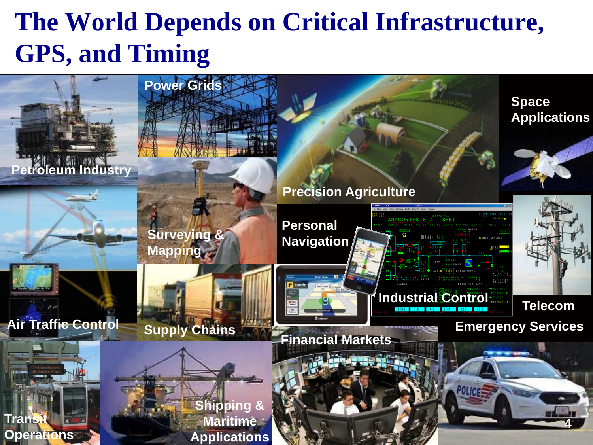### **The World Depends on Critical Infrastructure, GPS, and Timing**

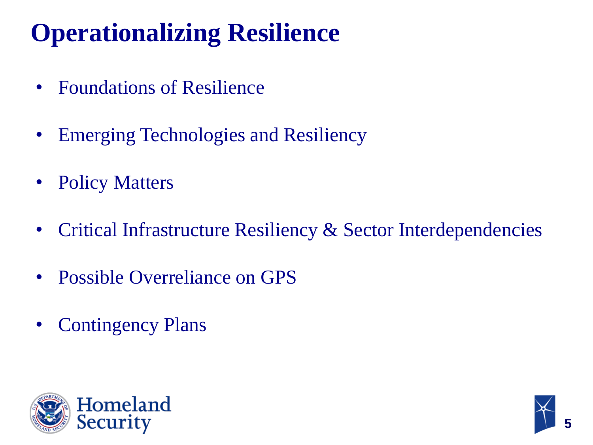### **Operationalizing Resilience**

- Foundations of Resilience
- Emerging Technologies and Resiliency
- Policy Matters
- Critical Infrastructure Resiliency & Sector Interdependencies
- Possible Overreliance on GPS
- Contingency Plans



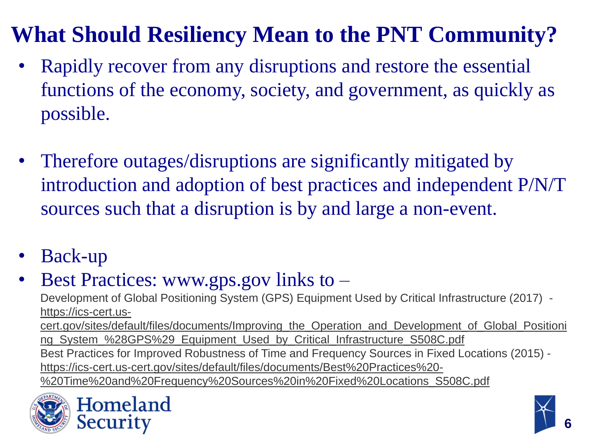### **What Should Resiliency Mean to the PNT Community?**

- Rapidly recover from any disruptions and restore the essential functions of the economy, society, and government, as quickly as possible.
- Therefore outages/disruptions are significantly mitigated by introduction and adoption of best practices and independent P/N/T sources such that a disruption is by and large a non-event.
- Back-up
- Best Practices: www.gps.gov links to  $-$

Development of Global Positioning System (GPS) Equipment Used by Critical Infrastructure (2017) https://ics-cert.uscert.gov/sites/default/files/documents/Improving\_the\_Operation\_and\_Development\_of\_Global\_Positioni ng\_System\_%28GPS%29\_Equipment\_Used\_by\_Critical\_Infrastructure\_S508C.pdf Best Practices for Improved Robustness of Time and Frequency Sources in Fixed Locations (2015) https://ics-cert.us-cert.gov/sites/default/files/documents/Best%20Practices%20- %20Time%20and%20Frequency%20Sources%20in%20Fixed%20Locations\_S508C.pdf



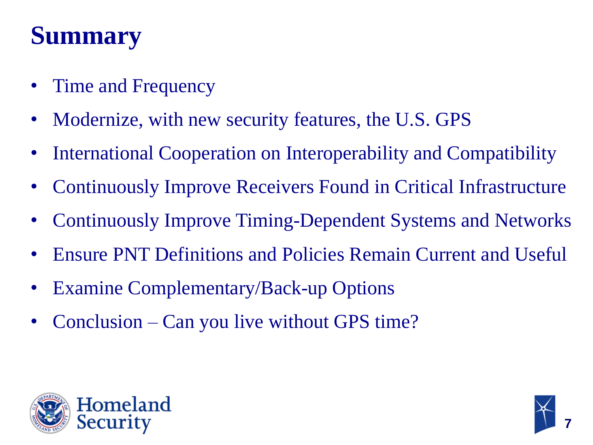### **Summary**

- Time and Frequency
- Modernize, with new security features, the U.S. GPS
- International Cooperation on Interoperability and Compatibility
- Continuously Improve Receivers Found in Critical Infrastructure
- Continuously Improve Timing-Dependent Systems and Networks
- Ensure PNT Definitions and Policies Remain Current and Useful
- Examine Complementary/Back-up Options
- Conclusion Can you live without GPS time?